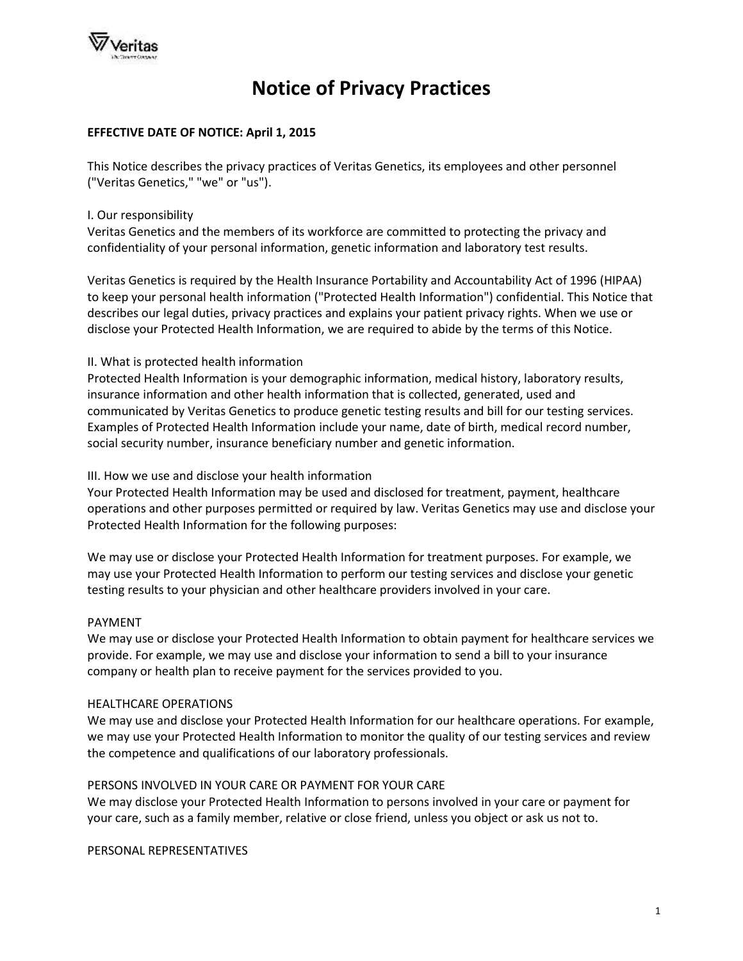

## **EFFECTIVE DATE OF NOTICE: April 1, 2015**

This Notice describes the privacy practices of Veritas Genetics, its employees and other personnel ("Veritas Genetics," "we" or "us").

#### I. Our responsibility

Veritas Genetics and the members of its workforce are committed to protecting the privacy and confidentiality of your personal information, genetic information and laboratory test results.

Veritas Genetics is required by the Health Insurance Portability and Accountability Act of 1996 (HIPAA) to keep your personal health information ("Protected Health Information") confidential. This Notice that describes our legal duties, privacy practices and explains your patient privacy rights. When we use or disclose your Protected Health Information, we are required to abide by the terms of this Notice.

## II. What is protected health information

Protected Health Information is your demographic information, medical history, laboratory results, insurance information and other health information that is collected, generated, used and communicated by Veritas Genetics to produce genetic testing results and bill for our testing services. Examples of Protected Health Information include your name, date of birth, medical record number, social security number, insurance beneficiary number and genetic information.

#### III. How we use and disclose your health information

Your Protected Health Information may be used and disclosed for treatment, payment, healthcare operations and other purposes permitted or required by law. Veritas Genetics may use and disclose your Protected Health Information for the following purposes:

We may use or disclose your Protected Health Information for treatment purposes. For example, we may use your Protected Health Information to perform our testing services and disclose your genetic testing results to your physician and other healthcare providers involved in your care.

#### PAYMENT

We may use or disclose your Protected Health Information to obtain payment for healthcare services we provide. For example, we may use and disclose your information to send a bill to your insurance company or health plan to receive payment for the services provided to you.

## HEALTHCARE OPERATIONS

We may use and disclose your Protected Health Information for our healthcare operations. For example, we may use your Protected Health Information to monitor the quality of our testing services and review the competence and qualifications of our laboratory professionals.

#### PERSONS INVOLVED IN YOUR CARE OR PAYMENT FOR YOUR CARE

We may disclose your Protected Health Information to persons involved in your care or payment for your care, such as a family member, relative or close friend, unless you object or ask us not to.

PERSONAL REPRESENTATIVES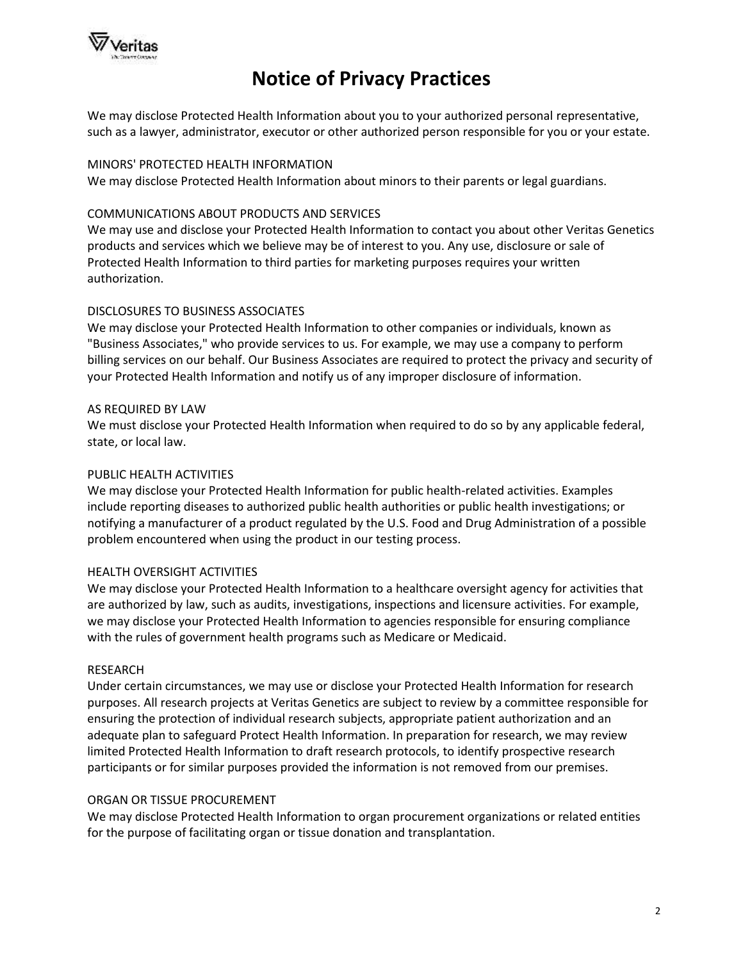

We may disclose Protected Health Information about you to your authorized personal representative, such as a lawyer, administrator, executor or other authorized person responsible for you or your estate.

## MINORS' PROTECTED HEALTH INFORMATION

We may disclose Protected Health Information about minors to their parents or legal guardians.

## COMMUNICATIONS ABOUT PRODUCTS AND SERVICES

We may use and disclose your Protected Health Information to contact you about other Veritas Genetics products and services which we believe may be of interest to you. Any use, disclosure or sale of Protected Health Information to third parties for marketing purposes requires your written authorization.

## DISCLOSURES TO BUSINESS ASSOCIATES

We may disclose your Protected Health Information to other companies or individuals, known as "Business Associates," who provide services to us. For example, we may use a company to perform billing services on our behalf. Our Business Associates are required to protect the privacy and security of your Protected Health Information and notify us of any improper disclosure of information.

## AS REQUIRED BY LAW

We must disclose your Protected Health Information when required to do so by any applicable federal, state, or local law.

## PUBLIC HEALTH ACTIVITIES

We may disclose your Protected Health Information for public health-related activities. Examples include reporting diseases to authorized public health authorities or public health investigations; or notifying a manufacturer of a product regulated by the U.S. Food and Drug Administration of a possible problem encountered when using the product in our testing process.

## HEALTH OVERSIGHT ACTIVITIES

We may disclose your Protected Health Information to a healthcare oversight agency for activities that are authorized by law, such as audits, investigations, inspections and licensure activities. For example, we may disclose your Protected Health Information to agencies responsible for ensuring compliance with the rules of government health programs such as Medicare or Medicaid.

## RESEARCH

Under certain circumstances, we may use or disclose your Protected Health Information for research purposes. All research projects at Veritas Genetics are subject to review by a committee responsible for ensuring the protection of individual research subjects, appropriate patient authorization and an adequate plan to safeguard Protect Health Information. In preparation for research, we may review limited Protected Health Information to draft research protocols, to identify prospective research participants or for similar purposes provided the information is not removed from our premises.

## ORGAN OR TISSUE PROCUREMENT

We may disclose Protected Health Information to organ procurement organizations or related entities for the purpose of facilitating organ or tissue donation and transplantation.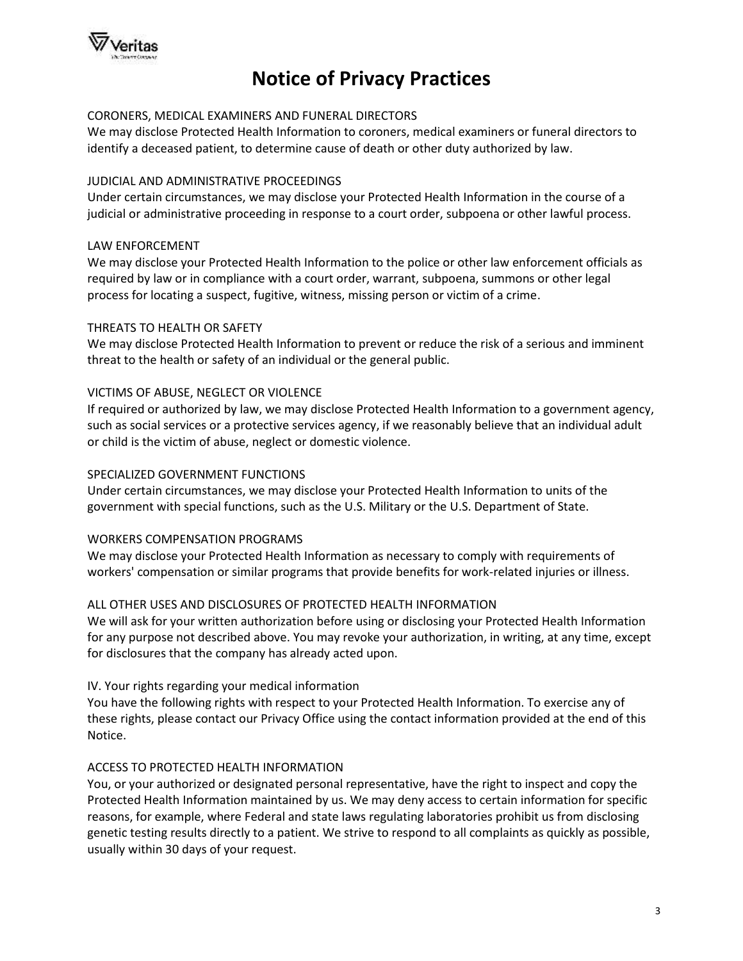

## CORONERS, MEDICAL EXAMINERS AND FUNERAL DIRECTORS

We may disclose Protected Health Information to coroners, medical examiners or funeral directors to identify a deceased patient, to determine cause of death or other duty authorized by law.

## JUDICIAL AND ADMINISTRATIVE PROCEEDINGS

Under certain circumstances, we may disclose your Protected Health Information in the course of a judicial or administrative proceeding in response to a court order, subpoena or other lawful process.

## LAW ENFORCEMENT

We may disclose your Protected Health Information to the police or other law enforcement officials as required by law or in compliance with a court order, warrant, subpoena, summons or other legal process for locating a suspect, fugitive, witness, missing person or victim of a crime.

## THREATS TO HEALTH OR SAFETY

We may disclose Protected Health Information to prevent or reduce the risk of a serious and imminent threat to the health or safety of an individual or the general public.

## VICTIMS OF ABUSE, NEGLECT OR VIOLENCE

If required or authorized by law, we may disclose Protected Health Information to a government agency, such as social services or a protective services agency, if we reasonably believe that an individual adult or child is the victim of abuse, neglect or domestic violence.

## SPECIALIZED GOVERNMENT FUNCTIONS

Under certain circumstances, we may disclose your Protected Health Information to units of the government with special functions, such as the U.S. Military or the U.S. Department of State.

## WORKERS COMPENSATION PROGRAMS

We may disclose your Protected Health Information as necessary to comply with requirements of workers' compensation or similar programs that provide benefits for work-related injuries or illness.

## ALL OTHER USES AND DISCLOSURES OF PROTECTED HEALTH INFORMATION

We will ask for your written authorization before using or disclosing your Protected Health Information for any purpose not described above. You may revoke your authorization, in writing, at any time, except for disclosures that the company has already acted upon.

## IV. Your rights regarding your medical information

You have the following rights with respect to your Protected Health Information. To exercise any of these rights, please contact our Privacy Office using the contact information provided at the end of this Notice.

## ACCESS TO PROTECTED HEALTH INFORMATION

You, or your authorized or designated personal representative, have the right to inspect and copy the Protected Health Information maintained by us. We may deny access to certain information for specific reasons, for example, where Federal and state laws regulating laboratories prohibit us from disclosing genetic testing results directly to a patient. We strive to respond to all complaints as quickly as possible, usually within 30 days of your request.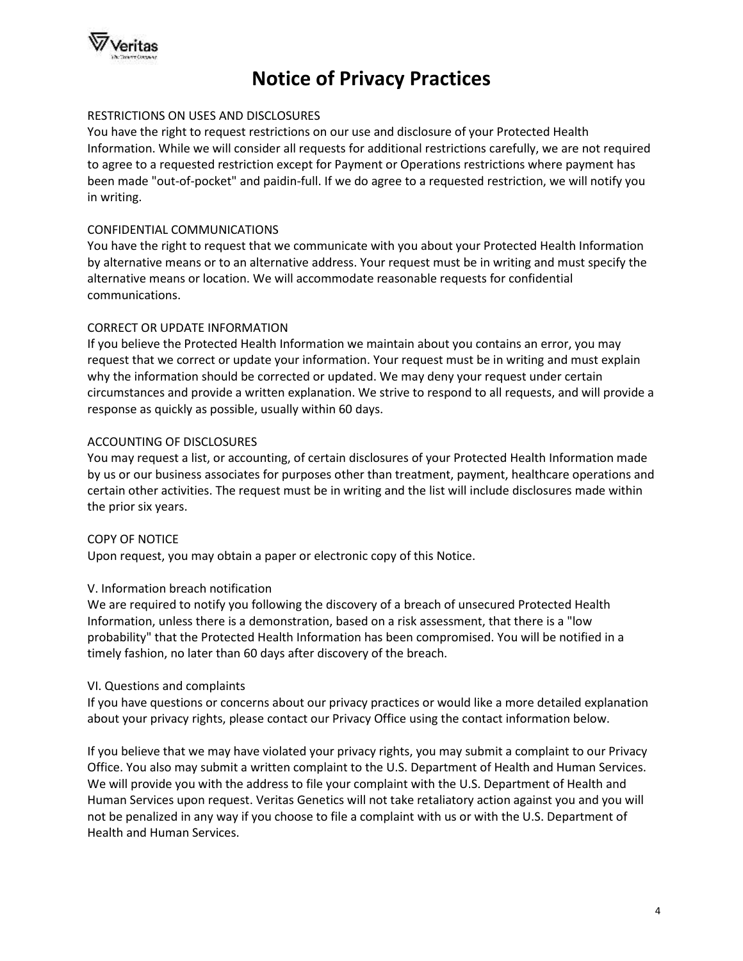

## RESTRICTIONS ON USES AND DISCLOSURES

You have the right to request restrictions on our use and disclosure of your Protected Health Information. While we will consider all requests for additional restrictions carefully, we are not required to agree to a requested restriction except for Payment or Operations restrictions where payment has been made "out-of-pocket" and paidin-full. If we do agree to a requested restriction, we will notify you in writing.

## CONFIDENTIAL COMMUNICATIONS

You have the right to request that we communicate with you about your Protected Health Information by alternative means or to an alternative address. Your request must be in writing and must specify the alternative means or location. We will accommodate reasonable requests for confidential communications.

## CORRECT OR UPDATE INFORMATION

If you believe the Protected Health Information we maintain about you contains an error, you may request that we correct or update your information. Your request must be in writing and must explain why the information should be corrected or updated. We may deny your request under certain circumstances and provide a written explanation. We strive to respond to all requests, and will provide a response as quickly as possible, usually within 60 days.

## ACCOUNTING OF DISCLOSURES

You may request a list, or accounting, of certain disclosures of your Protected Health Information made by us or our business associates for purposes other than treatment, payment, healthcare operations and certain other activities. The request must be in writing and the list will include disclosures made within the prior six years.

## COPY OF NOTICE

Upon request, you may obtain a paper or electronic copy of this Notice.

## V. Information breach notification

We are required to notify you following the discovery of a breach of unsecured Protected Health Information, unless there is a demonstration, based on a risk assessment, that there is a "low probability" that the Protected Health Information has been compromised. You will be notified in a timely fashion, no later than 60 days after discovery of the breach.

## VI. Questions and complaints

If you have questions or concerns about our privacy practices or would like a more detailed explanation about your privacy rights, please contact our Privacy Office using the contact information below.

If you believe that we may have violated your privacy rights, you may submit a complaint to our Privacy Office. You also may submit a written complaint to the U.S. Department of Health and Human Services. We will provide you with the address to file your complaint with the U.S. Department of Health and Human Services upon request. Veritas Genetics will not take retaliatory action against you and you will not be penalized in any way if you choose to file a complaint with us or with the U.S. Department of Health and Human Services.